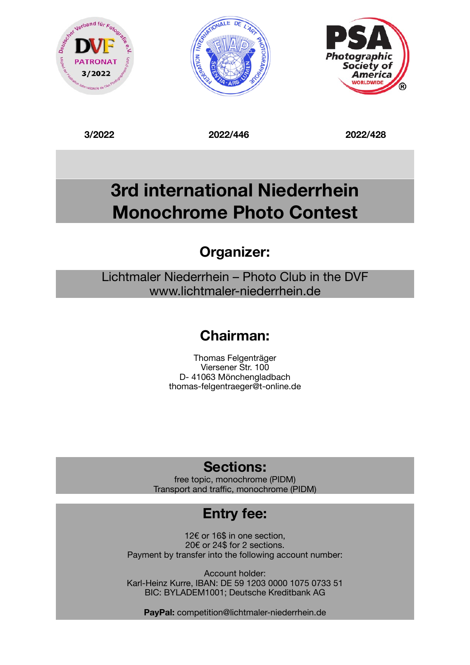





**3/2022 2022/446 2022/428** 

# **3rd international Niederrhein Monochrome Photo Contest**

## **Organizer:**

Lichtmaler Niederrhein – Photo Club in the DVF www.lichtmaler-niederrhein.de

## **Chairman:**

Thomas Felgenträger Viersener Str. 100 D- 41063 Mönchengladbach [thomas-felgentraeger@t-online.de](mailto:thomas-felgentraeger@t-online.de)

## **Sections:**

free topic, monochrome (PIDM) Transport and traffic, monochrome (PIDM)

## **Entry fee:**

12€ or 16\$ in one section, 20€ or 24\$ for 2 sections. Payment by transfer into the following account number:

Account holder: Karl-Heinz Kurre, IBAN: DE 59 1203 0000 1075 0733 51 BIC: BYLADEM1001; Deutsche Kreditbank AG

**PayPal:** competition@lichtmaler-niederrhein.de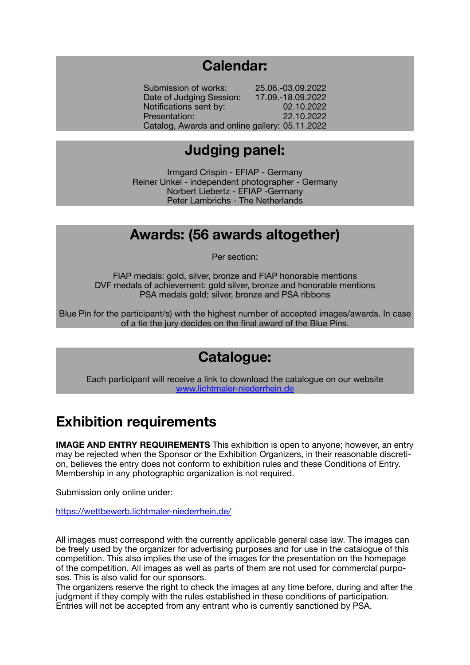#### **Calendar:**

Submission of works: 25.06.-03.09.2022 Date of Judging Session: 17.09.-18.09.2022 Notifications sent by: 02.10.2022 **Presentation:** 22.10.2022 Catalog, Awards and online gallery: 05.11.2022

#### **Judging panel:**

Irmgard Crispin - EFIAP - Germany Reiner Unkel - independent photographer - Germany Norbert Liebertz - EFIAP -Germany Peter Lambrichs - The Netherlands

#### **Awards: (56 awards altogether)**

Per section:

FIAP medals: gold, silver, bronze and FIAP honorable mentions DVF medals of achievement: gold silver, bronze and honorable mentions PSA medals gold; silver, bronze and PSA ribbons

Blue Pin for the participant/s) with the highest number of accepted images/awards. In case of a tie the jury decides on the final award of the Blue Pins.

#### **Catalogue:**

Each participant will receive a link to download the catalogue on our website [www.lichtmaler-niederrhein.de](http://www.lichtmaler-niederrhein.de)

#### **Exhibition requirements**

**IMAGE AND ENTRY REQUIREMENTS** This exhibition is open to anyone; however, an entry may be rejected when the Sponsor or the Exhibition Organizers, in their reasonable discretion, believes the entry does not conform to exhibition rules and these Conditions of Entry. Membership in any photographic organization is not required.

Submission only online under:

<https://wettbewerb.lichtmaler-niederrhein.de/>

All images must correspond with the currently applicable general case law. The images can be freely used by the organizer for advertising purposes and for use in the catalogue of this competition. This also implies the use of the images for the presentation on the homepage of the competition. All images as well as parts of them are not used for commercial purposes. This is also valid for our sponsors.

The organizers reserve the right to check the images at any time before, during and after the judgment if they comply with the rules established in these conditions of participation. Entries will not be accepted from any entrant who is currently sanctioned by PSA.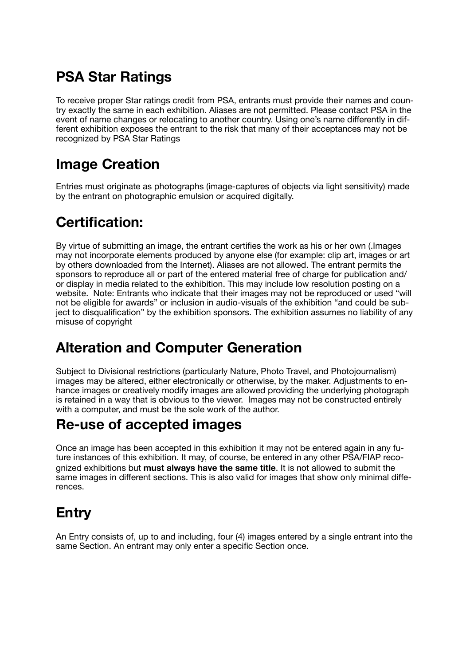## **PSA Star Ratings**

To receive proper Star ratings credit from PSA, entrants must provide their names and country exactly the same in each exhibition. Aliases are not permitted. Please contact PSA in the event of name changes or relocating to another country. Using one's name differently in different exhibition exposes the entrant to the risk that many of their acceptances may not be recognized by PSA Star Ratings

## **Image Creation**

Entries must originate as photographs (image-captures of objects via light sensitivity) made by the entrant on photographic emulsion or acquired digitally.

## **Certification:**

By virtue of submitting an image, the entrant certifies the work as his or her own (.Images may not incorporate elements produced by anyone else (for example: clip art, images or art by others downloaded from the Internet). Aliases are not allowed. The entrant permits the sponsors to reproduce all or part of the entered material free of charge for publication and/ or display in media related to the exhibition. This may include low resolution posting on a website. Note: Entrants who indicate that their images may not be reproduced or used "will not be eligible for awards" or inclusion in audio-visuals of the exhibition "and could be subject to disqualification" by the exhibition sponsors. The exhibition assumes no liability of any misuse of copyright

## **Alteration and Computer Generation**

Subject to Divisional restrictions (particularly Nature, Photo Travel, and Photojournalism) images may be altered, either electronically or otherwise, by the maker. Adjustments to enhance images or creatively modify images are allowed providing the underlying photograph is retained in a way that is obvious to the viewer. Images may not be constructed entirely with a computer, and must be the sole work of the author.

## **Re-use of accepted images**

Once an image has been accepted in this exhibition it may not be entered again in any future instances of this exhibition. It may, of course, be entered in any other PSA/FIAP recognized exhibitions but **must always have the same title**. It is not allowed to submit the same images in different sections. This is also valid for images that show only minimal differences.

## **Entry**

An Entry consists of, up to and including, four (4) images entered by a single entrant into the same Section. An entrant may only enter a specific Section once.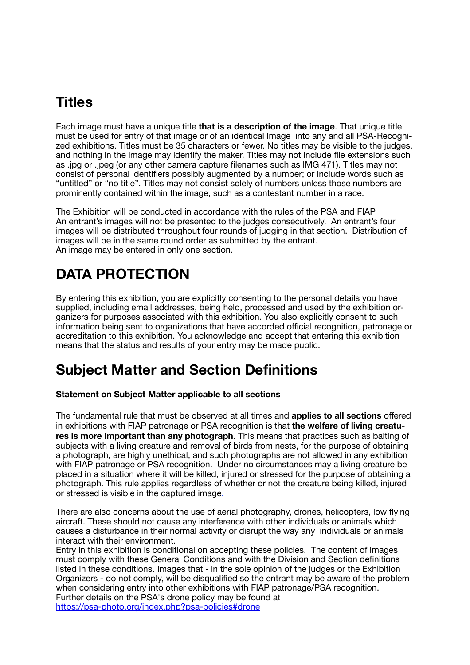## **Titles**

Each image must have a unique title **that is a description of the image**. That unique title must be used for entry of that image or of an identical Image into any and all PSA-Recognized exhibitions. Titles must be 35 characters or fewer. No titles may be visible to the judges, and nothing in the image may identify the maker. Titles may not include file extensions such as .jpg or .jpeg (or any other camera capture filenames such as IMG 471). Titles may not consist of personal identifiers possibly augmented by a number; or include words such as "untitled" or "no title". Titles may not consist solely of numbers unless those numbers are prominently contained within the image, such as a contestant number in a race.

The Exhibition will be conducted in accordance with the rules of the PSA and FIAP An entrant's images will not be presented to the judges consecutively. An entrant's four images will be distributed throughout four rounds of judging in that section. Distribution of images will be in the same round order as submitted by the entrant. An image may be entered in only one section.

## **DATA PROTECTION**

By entering this exhibition, you are explicitly consenting to the personal details you have supplied, including email addresses, being held, processed and used by the exhibition organizers for purposes associated with this exhibition. You also explicitly consent to such information being sent to organizations that have accorded official recognition, patronage or accreditation to this exhibition. You acknowledge and accept that entering this exhibition means that the status and results of your entry may be made public.

## **Subject Matter and Section Definitions**

#### **Statement on Subject Matter applicable to all sections**

The fundamental rule that must be observed at all times and **applies to all sections** offered in exhibitions with FIAP patronage or PSA recognition is that **the welfare of living creatures is more important than any photograph**. This means that practices such as baiting of subjects with a living creature and removal of birds from nests, for the purpose of obtaining a photograph, are highly unethical, and such photographs are not allowed in any exhibition with FIAP patronage or PSA recognition. Under no circumstances may a living creature be placed in a situation where it will be killed, injured or stressed for the purpose of obtaining a photograph. This rule applies regardless of whether or not the creature being killed, injured or stressed is visible in the captured image.

There are also concerns about the use of aerial photography, drones, helicopters, low flying aircraft. These should not cause any interference with other individuals or animals which causes a disturbance in their normal activity or disrupt the way any individuals or animals interact with their environment.

Entry in this exhibition is conditional on accepting these policies. The content of images must comply with these General Conditions and with the Division and Section definitions listed in these conditions. Images that - in the sole opinion of the judges or the Exhibition Organizers - do not comply, will be disqualified so the entrant may be aware of the problem when considering entry into other exhibitions with FIAP patronage/PSA recognition. Further details on the PSA's drone policy may be found at [https://psa-photo.org/index.php?psa-policies#drone](https://psa-photo.org/index.php?psa-policies%23drone)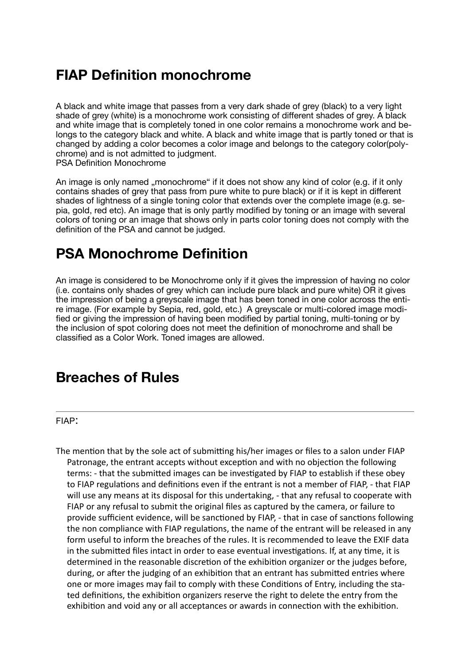#### **FIAP Definition monochrome**

A black and white image that passes from a very dark shade of grey (black) to a very light shade of grey (white) is a monochrome work consisting of different shades of grey. A black and white image that is completely toned in one color remains a monochrome work and belongs to the category black and white. A black and white image that is partly toned or that is changed by adding a color becomes a color image and belongs to the category color(polychrome) and is not admitted to judgment. PSA Definition Monochrome

An image is only named "monochrome" if it does not show any kind of color (e.g. if it only contains shades of grey that pass from pure white to pure black) or if it is kept in different shades of lightness of a single toning color that extends over the complete image (e.g. sepia, gold, red etc). An image that is only partly modified by toning or an image with several colors of toning or an image that shows only in parts color toning does not comply with the definition of the PSA and cannot be judged.

### **PSA Monochrome Definition**

An image is considered to be Monochrome only if it gives the impression of having no color (i.e. contains only shades of grey which can include pure black and pure white) OR it gives the impression of being a greyscale image that has been toned in one color across the entire image. (For example by Sepia, red, gold, etc.) A greyscale or multi-colored image modified or giving the impression of having been modified by partial toning, multi-toning or by the inclusion of spot coloring does not meet the definition of monochrome and shall be classified as a Color Work. Toned images are allowed.

#### **Breaches of Rules**

FIAP:

The mention that by the sole act of submitting his/her images or files to a salon under FIAP Patronage, the entrant accepts without exception and with no objection the following terms: - that the submitted images can be investigated by FIAP to establish if these obey to FIAP regulations and definitions even if the entrant is not a member of FIAP, - that FIAP will use any means at its disposal for this undertaking, - that any refusal to cooperate with FIAP or any refusal to submit the original files as captured by the camera, or failure to provide sufficient evidence, will be sanctioned by FIAP, - that in case of sanctions following the non compliance with FIAP regulations, the name of the entrant will be released in any form useful to inform the breaches of the rules. It is recommended to leave the EXIF data in the submitted files intact in order to ease eventual investigations. If, at any time, it is determined in the reasonable discretion of the exhibition organizer or the judges before, during, or after the judging of an exhibition that an entrant has submitted entries where one or more images may fail to comply with these Conditions of Entry, including the stated definitions, the exhibition organizers reserve the right to delete the entry from the exhibition and void any or all acceptances or awards in connection with the exhibition.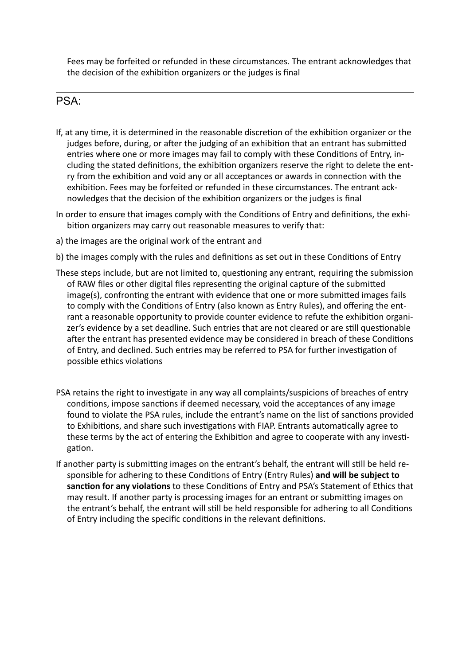Fees may be forfeited or refunded in these circumstances. The entrant acknowledges that the decision of the exhibition organizers or the judges is final

#### PSA:

- If, at any time, it is determined in the reasonable discretion of the exhibition organizer or the judges before, during, or after the judging of an exhibition that an entrant has submitted entries where one or more images may fail to comply with these Conditions of Entry, including the stated definitions, the exhibition organizers reserve the right to delete the entry from the exhibition and void any or all acceptances or awards in connection with the exhibition. Fees may be forfeited or refunded in these circumstances. The entrant acknowledges that the decision of the exhibition organizers or the judges is final
- In order to ensure that images comply with the Conditions of Entry and definitions, the exhibition organizers may carry out reasonable measures to verify that:
- a) the images are the original work of the entrant and
- b) the images comply with the rules and definitions as set out in these Conditions of Entry
- These steps include, but are not limited to, questioning any entrant, requiring the submission of RAW files or other digital files representing the original capture of the submitted image(s), confronting the entrant with evidence that one or more submitted images fails to comply with the Conditions of Entry (also known as Entry Rules), and offering the entrant a reasonable opportunity to provide counter evidence to refute the exhibition organizer's evidence by a set deadline. Such entries that are not cleared or are still questionable after the entrant has presented evidence may be considered in breach of these Conditions of Entry, and declined. Such entries may be referred to PSA for further investigation of possible ethics violations
- PSA retains the right to investigate in any way all complaints/suspicions of breaches of entry conditions, impose sanctions if deemed necessary, void the acceptances of any image found to violate the PSA rules, include the entrant's name on the list of sanctions provided to Exhibitions, and share such investigations with FIAP. Entrants automatically agree to these terms by the act of entering the Exhibition and agree to cooperate with any investigation.
- If another party is submitting images on the entrant's behalf, the entrant will still be held responsible for adhering to these Conditions of Entry (Entry Rules) and will be subject to **sanction for any violations** to these Conditions of Entry and PSA's Statement of Ethics that may result. If another party is processing images for an entrant or submitting images on the entrant's behalf, the entrant will still be held responsible for adhering to all Conditions of Entry including the specific conditions in the relevant definitions.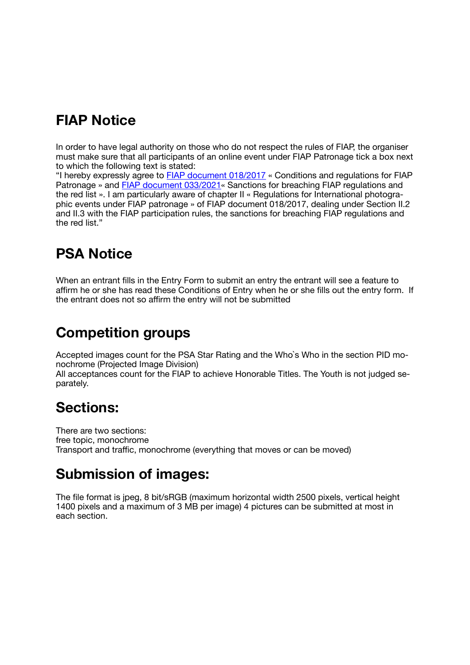### **FIAP Notice**

In order to have legal authority on those who do not respect the rules of FIAP, the organiser must make sure that all participants of an online event under FIAP Patronage tick a box next to which the following text is stated:

"I hereby expressly agree to [FIAP document 018/2017](https://magentacloud.de/s/HRtD8YoYgGWsKXG) « Conditions and regulations for FIAP Patronage » and [FIAP document 033/2021«](https://magentacloud.de/s/HRtD8YoYgGWsKXG) Sanctions for breaching FIAP regulations and the red list ». I am particularly aware of chapter II « Regulations for International photographic events under FIAP patronage » of FIAP document 018/2017, dealing under Section II.2 and II.3 with the FIAP participation rules, the sanctions for breaching FIAP regulations and the red list."

## **PSA Notice**

When an entrant fills in the Entry Form to submit an entry the entrant will see a feature to affirm he or she has read these Conditions of Entry when he or she fills out the entry form. If the entrant does not so affirm the entry will not be submitted

## **Competition groups**

Accepted images count for the PSA Star Rating and the Who`s Who in the section PID monochrome (Projected Image Division)

All acceptances count for the FIAP to achieve Honorable Titles. The Youth is not judged separately.

#### **Sections:**

There are two sections: free topic, monochrome Transport and traffic, monochrome (everything that moves or can be moved)

#### **Submission of images:**

The file format is jpeg, 8 bit/sRGB (maximum horizontal width 2500 pixels, vertical height 1400 pixels and a maximum of 3 MB per image) 4 pictures can be submitted at most in each section.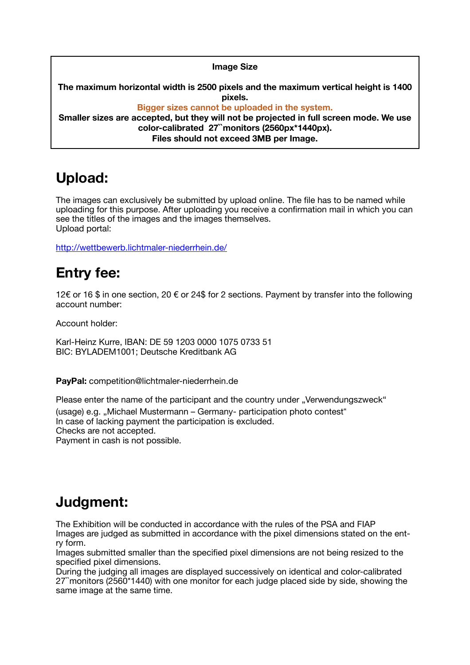#### **Image Size**

**The maximum horizontal width is 2500 pixels and the maximum vertical height is 1400 pixels. Bigger sizes cannot be uploaded in the system.** 

**Smaller sizes are accepted, but they will not be projected in full screen mode. We use color-calibrated 27``monitors (2560px\*1440px). Files should not exceed 3MB per Image.** 

### **Upload:**

The images can exclusively be submitted by upload online. The file has to be named while uploading for this purpose. After uploading you receive a confirmation mail in which you can see the titles of the images and the images themselves. Upload portal:

<http://wettbewerb.lichtmaler-niederrhein.de/>

## **Entry fee:**

12€ or 16 \$ in one section, 20 € or 24\$ for 2 sections. Payment by transfer into the following account number:

Account holder:

Karl-Heinz Kurre, IBAN: DE 59 1203 0000 1075 0733 51 BIC: BYLADEM1001; Deutsche Kreditbank AG

**PayPal:** competition@lichtmaler-niederrhein.de

Please enter the name of the participant and the country under "Verwendungszweck"

(usage) e.g. "Michael Mustermann – Germany- participation photo contest"

In case of lacking payment the participation is excluded.

Checks are not accepted.

Payment in cash is not possible.

## **Judgment:**

The Exhibition will be conducted in accordance with the rules of the PSA and FIAP Images are judged as submitted in accordance with the pixel dimensions stated on the entry form.

Images submitted smaller than the specified pixel dimensions are not being resized to the specified pixel dimensions.

During the judging all images are displayed successively on identical and color-calibrated 27``monitors (2560\*1440) with one monitor for each judge placed side by side, showing the same image at the same time.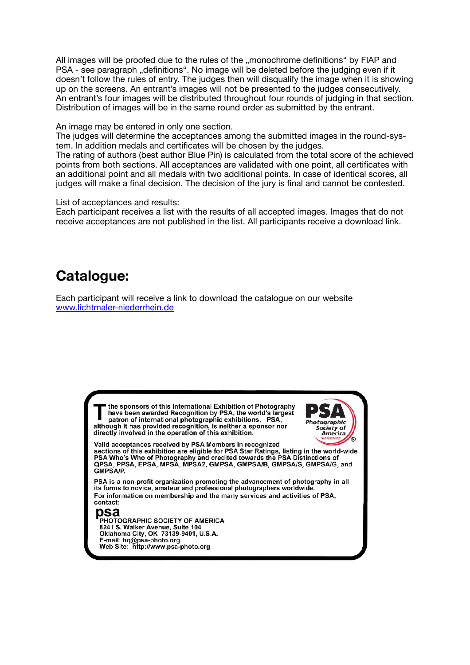All images will be proofed due to the rules of the "monochrome definitions" by FIAP and PSA - see paragraph "definitions". No image will be deleted before the judging even if it doesn't follow the rules of entry. The judges then will disqualify the image when it is showing up on the screens. An entrant's images will not be presented to the judges consecutively. An entrant's four images will be distributed throughout four rounds of judging in that section. Distribution of images will be in the same round order as submitted by the entrant.

An image may be entered in only one section.

The judges will determine the acceptances among the submitted images in the round-system. In addition medals and certificates will be chosen by the judges.

The rating of authors (best author Blue Pin) is calculated from the total score of the achieved points from both sections. All acceptances are validated with one point, all certificates with an additional point and all medals with two additional points. In case of identical scores, all judges will make a final decision. The decision of the jury is final and cannot be contested.

List of acceptances and results:

Each participant receives a list with the results of all accepted images. Images that do not receive acceptances are not published in the list. All participants receive a download link.

### **Catalogue:**

Each participant will receive a link to download the catalogue on our website [www.lichtmaler-niederrhein.de](http://www.lichtmaler-niederrhein.de)